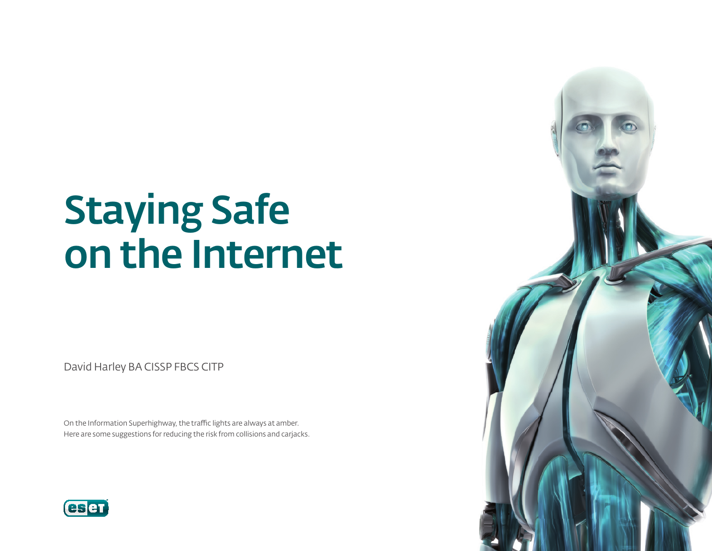# Staying Safe on the Internet

David Harley BA CISSP FBCS CITP

On the Information Superhighway, the traffic lights are always at amber. Here are some suggestions for reducing the risk from collisions and carjacks.



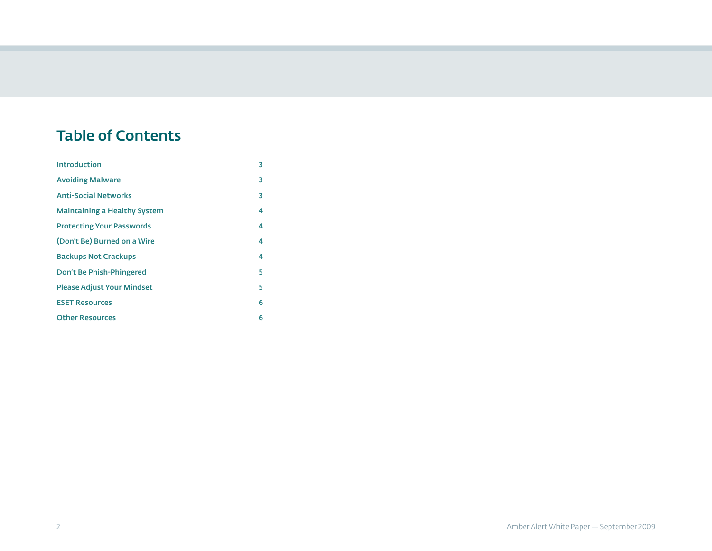# Table of Contents

| <b>Introduction</b>                 | 3 |
|-------------------------------------|---|
| <b>Avoiding Malware</b>             | 3 |
| <b>Anti-Social Networks</b>         | 3 |
| <b>Maintaining a Healthy System</b> | 4 |
| <b>Protecting Your Passwords</b>    | 4 |
| (Don't Be) Burned on a Wire         | 4 |
| <b>Backups Not Crackups</b>         | 4 |
| Don't Be Phish-Phingered            | 5 |
| <b>Please Adjust Your Mindset</b>   | 5 |
| <b>ESET Resources</b>               | 6 |
| <b>Other Resources</b>              | 6 |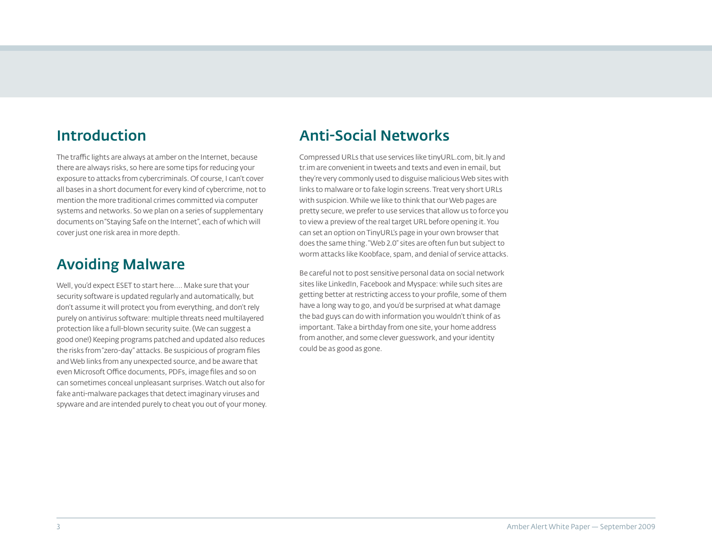#### <span id="page-2-0"></span>Introduction

The traffic lights are always at amber on the Internet, because there are always risks, so here are some tips for reducing your exposure to attacks from cybercriminals. Of course, I can't cover all bases in a short document for every kind of cybercrime, not to mention the more traditional crimes committed via computer systems and networks. So we plan on a series of supplementary documents on "Staying Safe on the Internet", each of which will cover just one risk area in more depth.

#### Avoiding Malware

Well, you'd expect ESET to start here.... Make sure that your security software is updated regularly and automatically, but don't assume it will protect you from everything, and don't rely purely on antivirus software: multiple threats need multilayered protection like a full-blown security suite. (We can suggest a good one!) Keeping programs patched and updated also reduces the risks from "zero-day" attacks. Be suspicious of program files and Web links from any unexpected source, and be aware that even Microsoft Office documents, PDFs, image files and so on can sometimes conceal unpleasant surprises. Watch out also for fake anti-malware packages that detect imaginary viruses and spyware and are intended purely to cheat you out of your money.

#### Anti-Social Networks

Compressed URLs that use services like tinyURL.com, bit.ly and tr.im are convenient in tweets and texts and even in email, but they're very commonly used to disguise malicious Web sites with links to malware or to fake login screens. Treat very short URLs with suspicion. While we like to think that our Web pages are pretty secure, we prefer to use services that allow us to force you to view a preview of the real target URL before opening it. You can set an option on TinyURL's page in your own browser that does the same thing. "Web 2.0" sites are often fun but subject to worm attacks like Koobface, spam, and denial of service attacks.

Be careful not to post sensitive personal data on social network sites like LinkedIn, Facebook and Myspace: while such sites are getting better at restricting access to your profile, some of them have a long way to go, and you'd be surprised at what damage the bad guys can do with information you wouldn't think of as important. Take a birthday from one site, your home address from another, and some clever guesswork, and your identity could be as good as gone.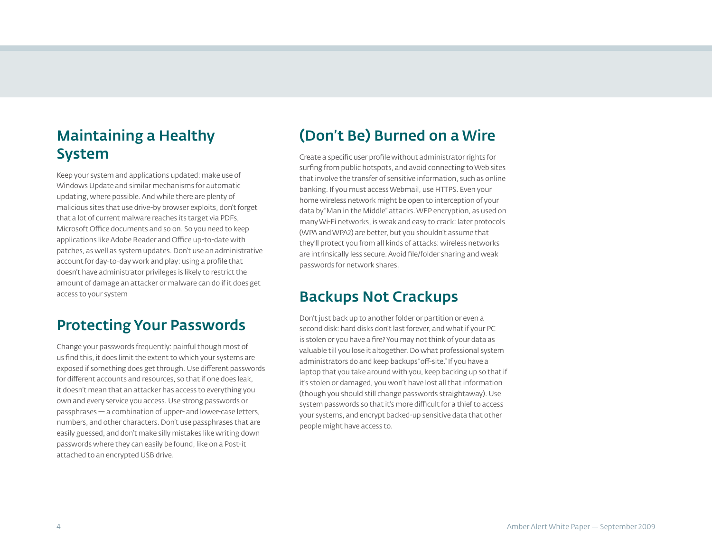## <span id="page-3-0"></span>Maintaining a Healthy System

Keep your system and applications updated: make use of Windows Update and similar mechanisms for automatic updating, where possible. And while there are plenty of malicious sites that use drive-by browser exploits, don't forget that a lot of current malware reaches its target via PDFs, Microsoft Office documents and so on. So you need to keep applications like Adobe Reader and Office up-to-date with patches, as well as system updates. Don't use an administrative account for day-to-day work and play: using a profile that doesn't have administrator privileges is likely to restrict the amount of damage an attacker or malware can do if it does get access to your system

#### Protecting Your Passwords

Change your passwords frequently: painful though most of us find this, it does limit the extent to which your systems are exposed if something does get through. Use different passwords for different accounts and resources, so that if one does leak, it doesn't mean that an attacker has access to everything you own and every service you access. Use strong passwords or passphrases — a combination of upper- and lower-case letters, numbers, and other characters. Don't use passphrases that are easily guessed, and don't make silly mistakes like writing down passwords where they can easily be found, like on a Post-it attached to an encrypted USB drive.

#### (Don't Be) Burned on a Wire

Create a specific user profile without administrator rights for surfing from public hotspots, and avoid connecting to Web sites that involve the transfer of sensitive information, such as online banking. If you must access Webmail, use HTTPS. Even your home wireless network might be open to interception of your data by "Man in the Middle" attacks. WEP encryption, as used on many Wi-Fi networks, is weak and easy to crack: later protocols (WPA and WPA2) are better, but you shouldn't assume that they'll protect you from all kinds of attacks: wireless networks are intrinsically less secure. Avoid file/folder sharing and weak passwords for network shares.

#### Backups Not Crackups

Don't just back up to another folder or partition or even a second disk: hard disks don't last forever, and what if your PC is stolen or you have a fire? You may not think of your data as valuable till you lose it altogether. Do what professional system administrators do and keep backups "off-site." If you have a laptop that you take around with you, keep backing up so that if it's stolen or damaged, you won't have lost all that information (though you should still change passwords straightaway). Use system passwords so that it's more difficult for a thief to access your systems, and encrypt backed-up sensitive data that other people might have access to.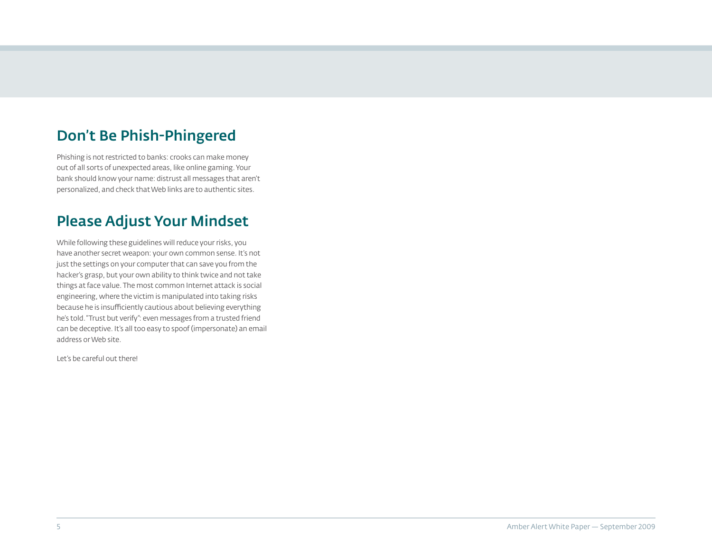# <span id="page-4-0"></span>Don't Be Phish-Phingered

Phishing is not restricted to banks: crooks can make money out of all sorts of unexpected areas, like online gaming. Your bank should know your name: distrust all messages that aren't personalized, and check that Web links are to authentic sites.

#### Please Adjust Your Mindset

While following these guidelines will reduce your risks, you have another secret weapon: your own common sense. It's not just the settings on your computer that can save you from the hacker's grasp, but your own ability to think twice and not take things at face value. The most common Internet attack is social engineering, where the victim is manipulated into taking risks because he is insufficiently cautious about believing everything he's told. "Trust but verify": even messages from a trusted friend can be deceptive. It's all too easy to spoof (impersonate) an email address or Web site.

Let's be careful out there!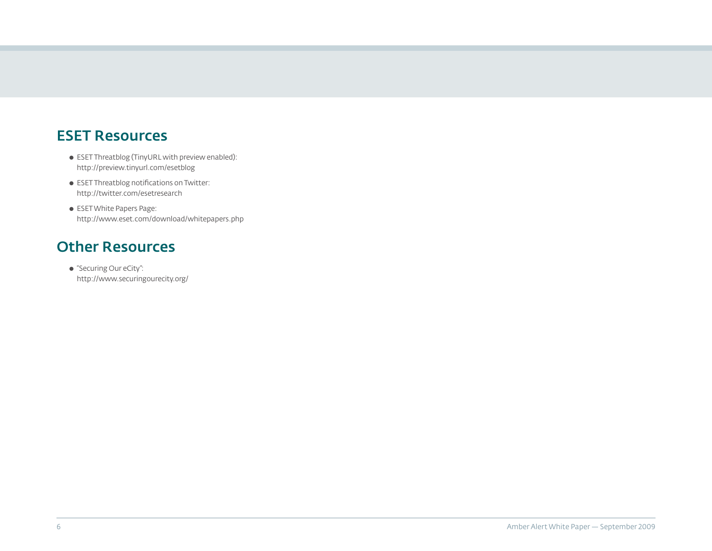#### <span id="page-5-0"></span>ESET Resources

- ESET Threatblog (TinyURL with preview enabled): http://preview.tinyurl.com/esetblog
- ESET Threatblog notifications on Twitter: http://twitter.com/esetresearch
- ESET White Papers Page: http://www.eset.com/download/whitepapers.php

#### Other Resources

● "Securing Our eCity": http://www.securingourecity.org/